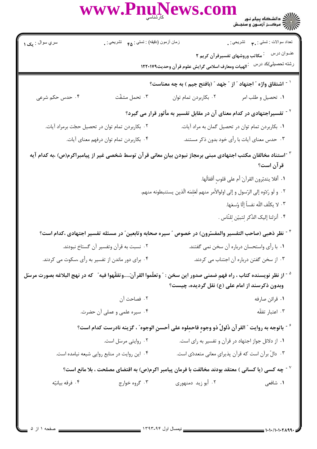www.Pnur **ws.com** سري سوال : مک ۱ نعداد سوالات : نستي : ٣**.** نشريحي : . زمان أزمون (دقيقه) : تستى : <sub>۴۸</sub> تشريحي : <sub>.</sub> عنـوان درس مـ :<br>عنـوان درس مـ : مکاتب وروشهای تفسیرقرآن کریم ۲ رشته تحصیلي/کد درس : الهیات ومعارف اسلامی گرایش علوم قر آن وحدیث۱۲۲۰۱۷۹ <sup>٬ -</sup> اشتقاق واژه ″ اجتهاد ″ از ″ جَهد ″ (بافتح جیم ) به چه معناست؟ ۴. تحمل مشقّت ۰۴ حدس حکم شرعی ۰۲ بکاربردن تمام توان ۰۱ تحصیل و طلب امر <sup>۲ -</sup> تفسیراجتهادی در کدام معنای آن در مقابل تفسیر به مأثور قرار می گیرد؟ ۰۲ بکاربردن تمام توان در تحصیل حجّت برمراد آیات. ۰۱ بکاربردن تمام توان در تحصیل گمان به مراد آیات. ۰۴ بكاربردن تمام توان درفهم معناي أيات. ۰۳ حدس معنای آیات با رأی خود بدون ذکر مستند. <sup>۳ -</sup>استناد مخالفان مکتب اجتهادی مبنی برمجاز نبودن بیانِ معانی قرآن توسط شخصی غیر از پیامبراکرم(ص) ،به کدام آیه قر آن است؟ ٠١. أفلا يتدبّرون القرآنَ أم على قلوب أقفالُها. ٢ . و لَو رُدّوه إلى الرّسول و إلى اولوالأمر منهم لَعَلمَه الّذين يستنبطونه منهم. ٠٣ لا يكلّف اللّه نفساً إلّا وُسعَها. ۴ . أنزلنا إليك الذّكر لتبيّن للنّاس . <sup>۴ -</sup> نظر ذهبی (صاحب التفسیر والمفسّرون) در خصوص ″ سیره صحابه وتابعین″ در مسئله تفسیر اجتهادی ،کدام است؟ ۰۱ با رأی واستحسان درباره آن سخن نمی گفتند. ۰۲ نسبت به قرآن وتفسیر آن گستاخ نبودند. ۴. برای دور ماندن از تفسیر به رأی ،سکوت می کردند. ۰۳ از سخن گفتن درباره آن اجتناب م*ی* کردند. <sup>ه -</sup> از نظر نويسنده كتاب ، راه فهم ضمني صدور اين سخن : ″ وتعلّموا القرآنَ.....وتفقّهوا فيه″ كه در نهج البلاغه بصورت مرسَل وبدون ذکرسند از امام علی (ع) نقل گردیده، چیست؟ ٠٢ فصاحت آن ۰۱ قرائن صارفه ۴. سیره علمی و عملی آن حضرت. ٠٣ اعتبار تفقّه ً - باتوجه به روايت " القر آن ذَلولٌ ذو وجوه فاحملوه على أحسنِ الوجوه" ، گزينه نادرست كدام است؟ ۰۲ روایتی مرسل است. ۰۱ از دلائل جواز اجتهاد در قرآن و تفسیر به رای است. ۰۳ دالّ برآن است که قرآن پذیرای معانی متعددّی است. ۰۴ این روایت در منابع روایی شیعه نیامده است. جه کسی (یا کسانی ) معتقد بودند مخالفت با فرمان پیامبر اکرم(ص) به اقتضای مصلحت ، بلا مانع است؟  $^\vee$ **۱.** شافعی ۰۴ فرقه بيانته ۰۳ گروه خواړج ۰۲ أبو زيد دمنهوري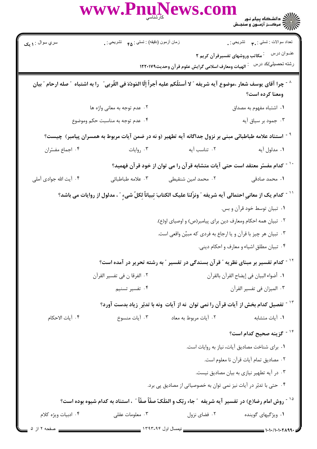|                                                                                                                       | WWW.Pnul                                                                                                                | ews.col                                           | ر دانشگاه پیام نور<br>۱۳۸۷ - دانشگاه پیام نور<br>۱۳۸۸ - مرکـــز آزمــون و سنجـش |
|-----------------------------------------------------------------------------------------------------------------------|-------------------------------------------------------------------------------------------------------------------------|---------------------------------------------------|---------------------------------------------------------------------------------|
| سري سوال : ۱ يک                                                                                                       | زمان أزمون (دقيقه) : تستي : <sub>۴۵</sub> تشريحي : <sub>•</sub>                                                         |                                                   | تعداد سوالات : تستي : ٣ <sub>٠</sub> ٠     تشريحي : .                           |
|                                                                                                                       |                                                                                                                         |                                                   | عنــوان درس<br><sup>:</sup> مکاتب وروشهای تفسیرقرآن کریم ۲                      |
|                                                                                                                       |                                                                                                                         | الهيات ومعارف اسلامي گرايش علوم قرآن وحديث١٢٢٠١٧٩ | رشته تحصيل <i>ي </i> كد درس                                                     |
|                                                                                                                       | چرا آقاي يوسف شعار ،موضوع آيه شريفه ″ لا أسئلُكم عليه أجراً إلّا المَودّة في القُربي ″  را به اشتباه ″ صله ارحام ″ بيان |                                                   | ومعنا كرده است؟                                                                 |
| ۰۲ عدم توجه به معانی واژه ها                                                                                          |                                                                                                                         |                                                   | ٠١. اشتباه مفهوم به مصداق                                                       |
| ۰۴ عدم توجه به مناسبت حکم وموضوع                                                                                      |                                                                                                                         |                                                   | ۰۳ جمود بر سیاق آیه                                                             |
| <sup>۹ -</sup> استناد علامه طباطبائی مبنی بر نزول جداگانه آیه تطهیر (و نه در ضمن آیات مربوط به همسران پیامبر)  چیست؟  |                                                                                                                         |                                                   |                                                                                 |
| ۰۴ اجماع مفسّران                                                                                                      | ۰۳ روایات                                                                                                               | ٠٢ تناسب آيه                                      | ١. مدلول آيه                                                                    |
| <sup>-</sup> کدام مفسّر معتقد است حتی آیات متشابه قرآن را می توان از خود قرآن فهمید؟                                  |                                                                                                                         |                                                   |                                                                                 |
| ۰۴ آیت الله جوادی آملی                                                                                                | ۰۳ علامه طباطبائى                                                                                                       | ۰۲ محمد امین شنقیطی                               | ۰۱ محمد صادقی                                                                   |
| ّ ` ` كدام يك از معاني احتمالى آيه شريفه ″ ونزّلنا عليك الكتابَ تِبياناً لِكلّ شيءٍ ″ ، مدلول از روايات مى باشد؟      |                                                                                                                         |                                                   |                                                                                 |
| ۰۱ تبیان توسط خود قرآن و بس.                                                                                          |                                                                                                                         |                                                   |                                                                                 |
|                                                                                                                       | ۰۲ تبیان همه احکام ومعارف دین برای پیامبر(ص) و اوصیای او(ع).                                                            |                                                   |                                                                                 |
|                                                                                                                       | ۰۳ تبیان هر چیز با قرآن و یا ارجاع به فردی که مبیِّن واقعی است.                                                         |                                                   |                                                                                 |
| ۰۴ تبيان مطلق اشياء و معارف و احكام ديني.                                                                             |                                                                                                                         |                                                   |                                                                                 |
| <sup>۱۲ -</sup> کدام تفسیر بر مبنای نظریه <b>″ قرآن بسندگی در تفسیر ″ به رشته تحریر</b> در آمده است؟                  |                                                                                                                         |                                                   |                                                                                 |
|                                                                                                                       | ٠٢ الفرقا ن في تفسير القرآن                                                                                             | ٠١. أضواء البيان في إيضاح القرآن بالقرآن          |                                                                                 |
|                                                                                                                       | ۰۴ تفسیر تسنیم                                                                                                          |                                                   | ٠٣ الميزان في تفسير القرآن                                                      |
| <sup>۱۳ -</sup> تفصیل کدام بخش از آیات قرآن را نمی توان  نه از آیات  ونه با تدبّر ِ زیاد بدست آورد؟                   |                                                                                                                         |                                                   |                                                                                 |
| ۰۴ آيات الاحكام                                                                                                       | ۰۳ آيات منسوخ                                                                                                           | ٠٢ آيات مربوط به معاد                             | ٠١. آيات متشابه                                                                 |
|                                                                                                                       |                                                                                                                         |                                                   | <sup>۱۴ -</sup> گزینه صحیح کدام است؟                                            |
| ٠. براي شناخت مصاديق آيات، نياز به روايات است.                                                                        |                                                                                                                         |                                                   |                                                                                 |
| ٠٢ مصاديق تمام آيات قرآن نا معلوم است.<br>۰۳ در آیه تطهیر نیازی به بیان مصادیق نیست.                                  |                                                                                                                         |                                                   |                                                                                 |
|                                                                                                                       |                                                                                                                         |                                                   |                                                                                 |
| ۰۴ حتی با تدبّر در آیات نیز نمی توان به خصوصیاتی از مصادیق پی برد.                                                    |                                                                                                                         |                                                   |                                                                                 |
| <sup>۱۵ -</sup> روش امام رضا(ع) در تفسير آيه شريفه ″جاء ربّک و المَلَکُ صفّاً صفّاً ″ ، استناد به کدام شيوه بوده است؟ |                                                                                                                         |                                                   |                                                                                 |
| ۰۴ ادبیات ویژه کلام                                                                                                   | ۰۳ معلومات عقلی                                                                                                         | ۰۲ فضای نزول                                      | ۰۱ ویژگیهای گوینده                                                              |
| صفحه ۲ از ۵                                                                                                           |                                                                                                                         |                                                   | 1.1.11.1.71.99.                                                                 |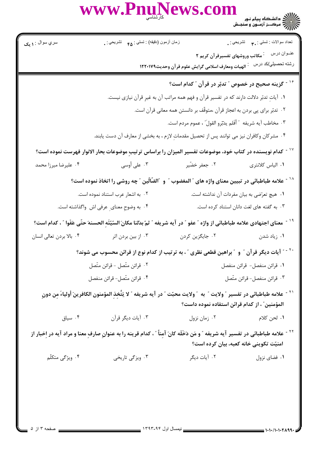**WS.COM** ر دانشڪاه پيام نور در در در در در شور در در در شور در در در در در در در در در در در شهر شور در دانو کاربرد در <br>جزائم در در در انواع در در سنجنش

سري سوال : **۱ بک** نعداد سوالات : تستي : ٣**. ب**ه تشريحي : . زمان أزمون (دقيقه) : تستى : <sub>۴۸</sub> تشريحي : <sub>.</sub> عنـوان درس مستخم است وروشهای تفسیرقرآن کریم ۲ رشته تحصيلي/كد درس : الهيات ومعارف اسلامي گرايش علوم قر آن وحديث١٢٢٠١٧٩ <sup>۱۶ -</sup> گزینه صحیح در خصوص ″ تدبّر در قرآن ″ کدام است؟ ۱. آیات تدبّر دلالت دارند که در تفسیر قرآن و فهم همه مراتب آن به غیر قرآن نیازی نیست. ٠٢ تدبّر براي پي بردن به اعجاز قرآن ،متوقّف بر دانستن همه معاني قرآن است. ٣. مخاطب آيه شريفه ″ أفَلم يدّترو القولّ ، عموم مردم است. ۰۴ مشرکان وکافران نیز می توانند پس از تحصیل مقدمات لازم ، به بخشی از معارف آن دست یابند. <sup>۱۷ -</sup> کدام نویسنده در کتاب خود، موضوعات تفسیر المیزان را براساس ترتیبِ موضوعات بحار الانوار فهرست نموده است؟ ۰۲ جعفر خضّیر ۰<sup>۳ .</sup> على أوسى ۰۴ علیرضا میرزا محمد ۰۱ الیاس کلانتری <sup>۱۸ -</sup> علامه طباطبائی در تبیین معنای واژه های ″ المغضوب ″ و ″الضّالّین ″ چه روشی را اتخاذ نموده است؟ ۰۲ به اشعار عرب استناد نموده است. ۰۱ هیچ تعرّضی به بیان مفردات آن نداشته است. ۰۴ به وضوح معنای عرفی اش واگذاشته است. ۰۳ به گفته های لغت دانان استناد کرده است. <sup>١٩ -</sup> معناي اجتهادي علامه طباطبائي از واژه ″ عفو ″ در آيه شريفه ″ ثمّ بدّلنا مكانَ السّيّئَه الحسنهَ حتّي عَفَوا ″ ، كدام است؟ ۰۴ بالا بردن تعالى انسان ۰۳ از بین بردن اثر ۲. جایگزین کردن ۰۱ زیاد شدن <sup>۲۰ -</sup> " آیات دیگر قرآن <sup>"</sup> و <sup>"</sup> براهین قطعی نظری <sup>"</sup> ، به ترتیب از کدام نوع از قرائن محسوب می شوند؟ ٠٢ قرائن متّصل - قرائن متّصل ٠١ قرائن منفصل- قرائن منفصل ۰۴ قرائن متّصل- قرائن منفصل ۰۳ قرائن منفصل- قرائن متّصل <sup>٢١ -</sup> علامه طباطبائي در تفسير ″ولايت ″ به ″ولايت محبّت ″ در آيه شريفه ″ لا يَتَّخذ المؤمنون الكافرينَ أولياءَ من دون المؤمنين" ، از كدام قرائن استفاده نموده داست؟ ۰۴ سیاق ۰۳ آیات دیگر قرآن ۰۲ زمان نزول ١. لحن كلام <sup>۲۲ -</sup> علامه طباطبائی در تفسیر آیه شریفه ″ و مَن دَخَلَه کانَ آمناً ″ ، کدام قرینه را به عنوان صارف معنا و مراد آیه در اخبار از امنیّت تکوینی خانه کعبه، بیان کرده است؟

www.Pnul

۰۲ آیات دیگر ۰۴ ویژگی متکلّم ۰۳ ویزگی تاریخی ۰۱ فضای نزول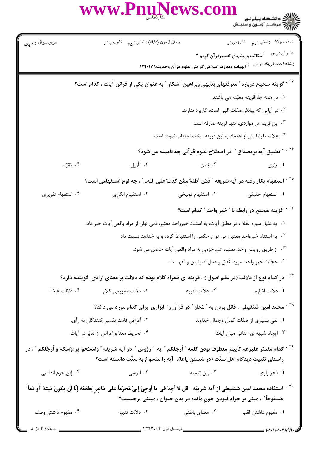ريس<br>کالاي دانشگاه پيام نور<br>کالاي مرکــز آزمــون و سنجـش

ews.com

سري سوال : **۱ یک** نعداد سوالات : تستي : ٣**. ب**ه تشريحي : . زمان أزمون (دقيقه) : تستي : <sub>۴۵</sub> تشريحي : . عنـوان درس مستخم است وروشهای تفسیرقرآن کریم ۲ رشته تحصیلي/کد درس ۔ : الهیات ومعارف اسلامی گرایش علوم قر آن وحدیث١٢٢٠١٧٩ <sup>۲۲ -</sup> گزینه صحیح درباره ″ معرفتهای بدیهی وبراهین آشکار ″ به عنوان یکی از قرائن آیات ، کدام است؟ ٠١. در همه جا، قرينه معيّنه مي باشند. ۰۲ در آیاتی که بیانگر صفات الهی است، کاربرد ندارند. ۰۳ این قرینه در مواردی، تنها قرینه صارفه است. ۰۴ علامه طباطبائي از اعتماد به اين قرينه سخت اجتناب نموده است. <sup>۲۴ -</sup> " تطبیق آیه برمصداق <sup>"</sup> در اصطلاح علوم قر آنی چه نامیده می شود؟ ۰۱ جَرِي ۰۴ مُقتّد ۰۳ تأويل ۰۲ نطن <sup>۲۵ -</sup> استفهام بكار رفته در آيه شريفه ″ فَمَن أظلمٌ مِمَّن كَذَبَ على اللّه...″ ، چه نوع استفهامى است؟ ۰۴ استفهام تقریری ۰۳ استفهام انکاری ۲. استفهام توبیخی ۰۱ استفهام حقیقی <sup>۲۶ -</sup> گزینه صحیح در رابطه با ″ خبر واحد ″ کدام است؟ ٠١. به دليل سيره عقلا ، در مطلق آيات، به استناد خبرواحد معتبر، نمي توان از مراد واقعي آيات خبر داد. ٢. به استناد خبرواحد معتبر، مي توان حكمي را استنباط كرده و به خداوند نسبت داد. ۰۳ از طریق روایت واحد معتبر، علم جزمی به مراد واقعی آیات حاصل می شود. ۰۴ حجّيّت خبر واحد، مورد اتّفاق و عمل اصوليين و فقهاست. <sup>۲۷ -</sup> در کدام نوع از دلالت (در علم اصول ) ، قرینه ای همراه کلام بوده که دلالت بر معنای ارادی ِ گوینده دارد؟ ۰۴ دلالت اقتضا ٢. دلالت تنبيه ۰۳ دلالت مفهومی کلام ۰۱ دلالت اشاره <sup>۲۸ -</sup> محمد امین شنقیطی ، قائل بودن به ″ مَجاز ″ در قرآن را ابزاری برای کدام مورد می داند؟ ۰۲ أغراض فاسد تفسير كنندگان به رأي. ۰۱ نفی بسیاری از صفات کمال وجمال خداوند. ۰۴ تحريف معنا و اعراض از تدبّر در آيات. ۰۳ ایجاد شبهه ی ِ تنافی میان آیات. <sup>۲۹ -</sup> كدام مفسّر عليرغم تأييد معطوف بودن كلمه " أرجلكم " به " رؤوس " در آيه شريفه " وامسَحوا بِرءوُسِكم و أرجُلَكم " ، در راستای تثبیت دیدگاه اهل سنّت (در شستن یاها)، آیه را منسوخ به سنّت دانسته است؟ ۰۳ آلوسی ۰۲ إبن تيميه ۰۴ إبن حزم اندلسي ۰۱ فخر رازی ``` - استفاده محمد امين شنقيطى از آيه شريفه ″ قل لا أجدٌ فى ما اُوحىَ إلىَّ مُحرَّماً على طاعم يَطعَمُه إلّا أن يكونَ مَيته ً أو دَماً مَسفوحاً ً ، مبنی بر حرام نبودن خون مانده در بدن حیوان ، مبتنی برچیست؟ ۰۴ مفهوم داشتن وصف ۰۳ دلالت تنبیه ۰۲ معنای باطنی ٠١ مفهوم داشتن لقب

www.Pnuf